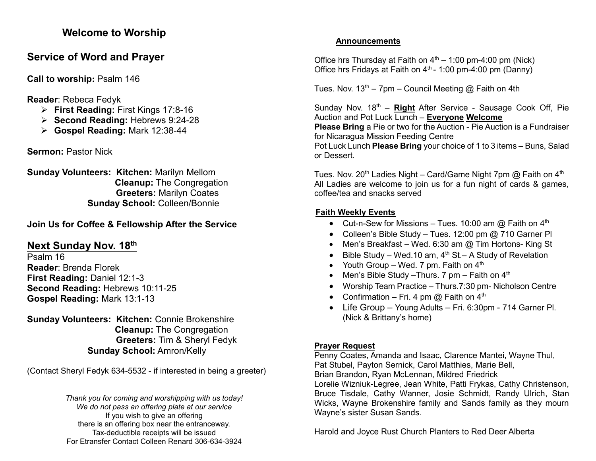#### **Welcome to Worship**

# **Service of Word and Prayer**

**Call to worship:** Psalm 146

**Reader**: Rebeca Fedyk

- ➢ **First Reading:** First Kings 17:8-16
- ➢ **Second Reading:** Hebrews 9:24-28
- ➢ **Gospel Reading:** Mark 12:38-44

**Sermon:** Pastor Nick

**Sunday Volunteers: Kitchen:** Marilyn Mellom **Cleanup:** The Congregation **Greeters:** Marilyn Coates **Sunday School:** Colleen/Bonnie

## **Join Us for Coffee & Fellowship After the Service**

# **Next Sunday Nov. 18 th**

Psalm 16 **Reader**: Brenda Florek **First Reading:** Daniel 12:1-3 **Second Reading:** Hebrews 10:11-25 **Gospel Reading:** Mark 13:1-13

**Sunday Volunteers: Kitchen:** Connie Brokenshire **Cleanup:** The Congregation **Greeters:** Tim & Sheryl Fedyk **Sunday School:** Amron/Kelly

(Contact Sheryl Fedyk 634-5532 - if interested in being a greeter)

*Thank you for coming and worshipping with us today! We do not pass an offering plate at our service* If you wish to give an offering there is an offering box near the entranceway. Tax-deductible receipts will be issued For Etransfer Contact Colleen Renard 306-634-3924

#### **Announcements**

Office hrs Thursday at Faith on  $4<sup>th</sup> - 1:00$  pm-4:00 pm (Nick) Office hrs Fridays at Faith on  $4<sup>th</sup>$  - 1:00 pm-4:00 pm (Danny)

Tues. Nov.  $13^{th}$  – 7pm – Council Meeting @ Faith on 4th

Sunday Nov. 18<sup>th</sup> – **Right** After Service - Sausage Cook Off, Pie Auction and Pot Luck Lunch – **Everyone Welcome Please Bring** a Pie or two for the Auction - Pie Auction is a Fundraiser

for Nicaragua Mission Feeding Centre

Pot Luck Lunch **Please Bring** your choice of 1 to 3 items – Buns, Salad or Dessert.

Tues. Nov. 20<sup>th</sup> Ladies Night – Card/Game Night 7pm  $\omega$  Faith on 4<sup>th</sup> All Ladies are welcome to join us for a fun night of cards & games, coffee/tea and snacks served

## **Faith Weekly Events**

- Cut-n-Sew for Missions Tues. 10:00 am  $@$  Faith on  $4<sup>th</sup>$
- Colleen's Bible Study Tues. 12:00 pm @ 710 Garner Pl
- Men's Breakfast Wed. 6:30 am @ Tim Hortons- King St
- Bible Study Wed.10 am,  $4<sup>th</sup>$  St.– A Study of Revelation
- Youth Group Wed. 7 pm. Faith on  $4<sup>th</sup>$
- Men's Bible Study Thurs. 7 pm Faith on  $4<sup>th</sup>$
- Worship Team Practice Thurs.7:30 pm- Nicholson Centre
- Confirmation Fri. 4 pm  $@$  Faith on  $4<sup>th</sup>$
- Life Group Young Adults Fri. 6:30pm 714 Garner Pl. (Nick & Brittany's home)

### **Prayer Request**

Penny Coates, Amanda and Isaac, Clarence Mantei, Wayne Thul, Pat Stubel, Payton Sernick, Carol Matthies, Marie Bell, Brian Brandon, Ryan McLennan, Mildred Friedrick

Lorelie Wizniuk-Legree, Jean White, Patti Frykas, Cathy Christenson, Bruce Tisdale, Cathy Wanner, Josie Schmidt, Randy Ulrich, Stan Wicks, Wayne Brokenshire family and Sands family as they mourn Wayne's sister Susan Sands.

Harold and Joyce Rust Church Planters to Red Deer Alberta